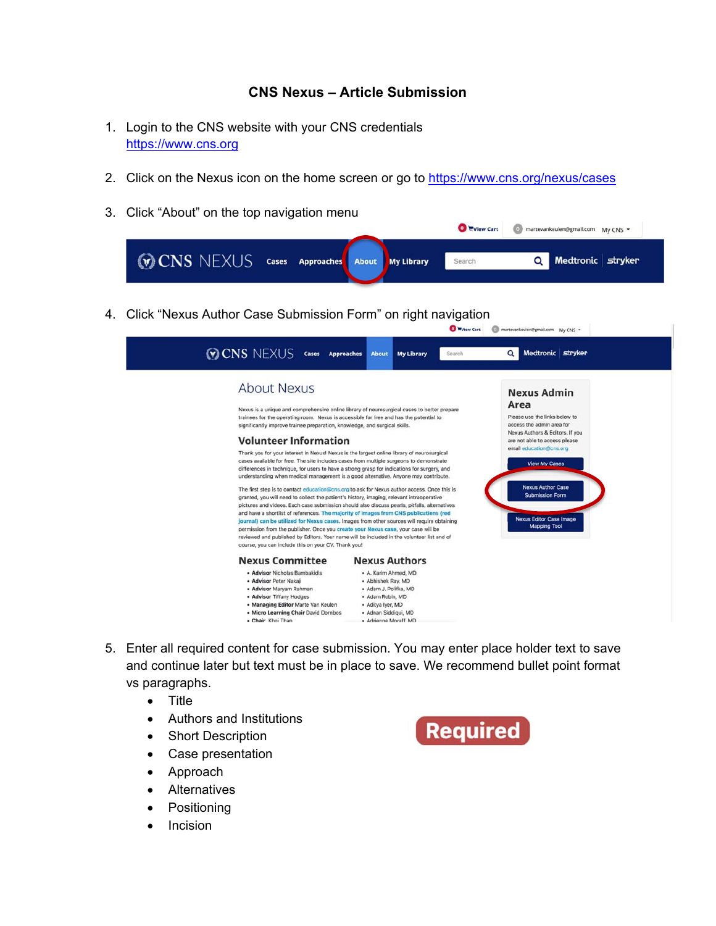## **CNS Nexus – Article Submission**

- 1. Login to the CNS website with your CNS credentials https://www.cns.org
- 2. Click on the Nexus icon on the home screen or go to https://www.cns.org/nexus/cases
- 3. Click "About" on the top navigation menu

|                                                       |  |  | View Cart | (1) martevankeulen@gmail.com My CNS * |                     |
|-------------------------------------------------------|--|--|-----------|---------------------------------------|---------------------|
| <b>WO CNS NEXUS</b> cases Approaches About My Library |  |  | Search    |                                       | Q Medtronic stryker |

4. Click "Nexus Author Case Submission Form" on right navigation



- 5. Enter all required content for case submission. You may enter place holder text to save and continue later but text must be in place to save. We recommend bullet point format vs paragraphs.
	- Title
	- Authors and Institutions
	- Short Description
	- Case presentation
	- Approach
	- Alternatives
	- Positioning
	- Incision

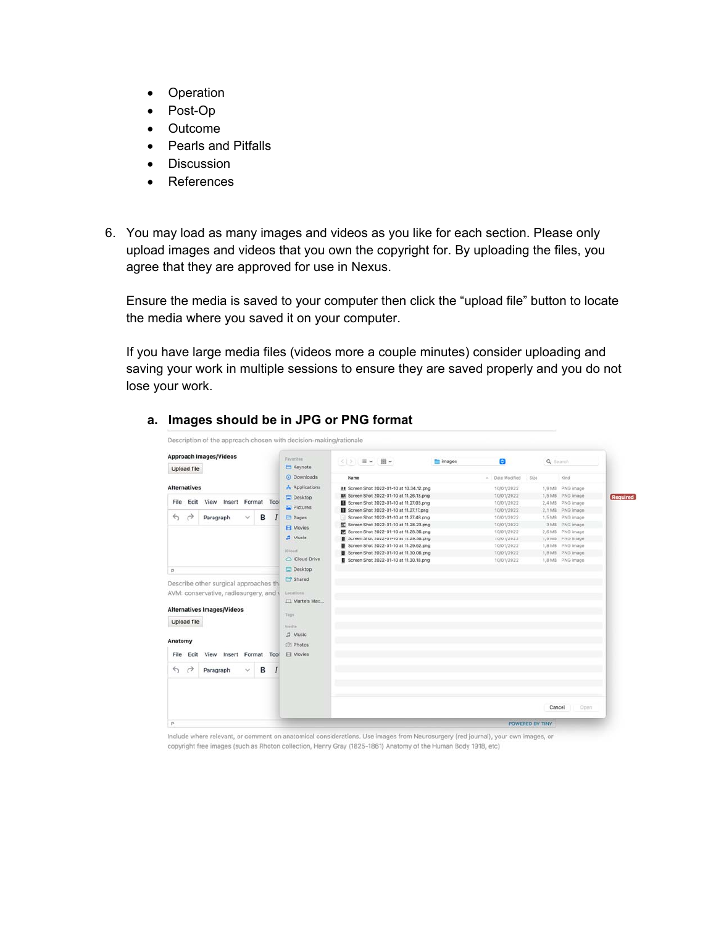- Operation
- Post-Op
- Outcome
- Pearls and Pitfalls
- Discussion
- References
- 6. You may load as many images and videos as you like for each section. Please only upload images and videos that you own the copyright for. By uploading the files, you agree that they are approved for use in Nexus.

Ensure the media is saved to your computer then click the "upload file" button to locate the media where you saved it on your computer.

If you have large media files (videos more a couple minutes) consider uploading and saving your work in multiple sessions to ensure they are saved properly and you do not lose your work.

| <b>Approach Images/Videos</b>                                        | Favorites                | $ C $ > $\equiv$ $\vee$ $\equiv$ $\vee$                                          | images | ø                        | Q Search |                                      |
|----------------------------------------------------------------------|--------------------------|----------------------------------------------------------------------------------|--------|--------------------------|----------|--------------------------------------|
| Upload file                                                          | E Keynote<br>C Downloads | Name                                                                             |        | Date Modified<br>$\sim$  | Si20     | Kind                                 |
|                                                                      |                          |                                                                                  |        |                          |          |                                      |
| <b>Alternatives</b>                                                  | A Applications           | ## Screen Shot 2022-01-10 at 10.34.12.png                                        |        | 10/01/2022               |          | 1.9 MB PNG image                     |
| View<br>Insert<br>File<br>Edit<br>Format Tool                        | Desktop                  | <b>B1</b> Screen Shot 2022-01-10 at 11.26.13.png                                 |        | 10/01/2022               |          | 1,5 MB PNG image<br>Required         |
|                                                                      | <b>E</b> Pictures        | Screen Shot 2022-01-10 at 11.27.03.png                                           |        | 10/01/2022               |          | 2.4 MB PNG image                     |
| $\leftrightarrow$<br>в<br>$\rightarrow$<br>$\checkmark$              |                          | Screen Shot 2022-01-10 at 11.27.17.png<br>Screen Shot 2022-01-10 at 11.27.48.png |        | 10/01/2022<br>10/01/2022 |          | 2.1 MB PNG image<br>1,5 MB PNG image |
| Paragraph                                                            | <b>El Pages</b>          | Screen Shot 2022-01-10 at 11.28.23.png                                           |        | 10/01/2022               | 3MS      | PNG image                            |
|                                                                      | <b>El</b> Movies         | E. Screen Shot 2022-01-10 at 11.28.36.png                                        |        | 10/01/2022               |          | 2.6 MB PNG image                     |
|                                                                      | $\sqrt{2}$ Music         | Screen Shot 2022-01-10 at 11.29.36.pmg                                           |        | 10/01/2022               |          | 1,9 MB PNG image                     |
|                                                                      |                          | Screen Shot 2022-01-10 at 11.29.52.png                                           |        | 10/01/2022               |          | 1,8 MB PNG image                     |
|                                                                      | ictoud.                  | Screen Shot 2022-01-10 at 11.30.06.png                                           |        | 10/01/2022               |          | 1,8 MB PNG image                     |
|                                                                      | C iCloud Drive           | Screen Shot 2022-01-10 at 11.30.18.png                                           |        | 10/01/2022               |          | 1,8 MB PNG image                     |
| p.                                                                   | Desktop                  |                                                                                  |        |                          |          |                                      |
|                                                                      |                          |                                                                                  |        |                          |          |                                      |
| Describe other surgical approaches th                                | <b>Eng</b> Shared        |                                                                                  |        |                          |          |                                      |
| AVM: conservative, radiosurgery, and t                               | Locations                |                                                                                  |        |                          |          |                                      |
|                                                                      | Marte's Mac              |                                                                                  |        |                          |          |                                      |
| <b>Alternatives Images/Videos</b>                                    |                          |                                                                                  |        |                          |          |                                      |
|                                                                      | Tags                     |                                                                                  |        |                          |          |                                      |
| Upload file                                                          |                          |                                                                                  |        |                          |          |                                      |
|                                                                      | Media                    |                                                                                  |        |                          |          |                                      |
|                                                                      | <b>72 Music</b>          |                                                                                  |        |                          |          |                                      |
| Anatomy                                                              | (0) Photos               |                                                                                  |        |                          |          |                                      |
| Format<br>File<br>Edit<br>View<br>Insert<br>Tool                     | El Movies                |                                                                                  |        |                          |          |                                      |
|                                                                      |                          |                                                                                  |        |                          |          |                                      |
| в<br>$\leftrightarrow$<br>$\rightarrow$<br>Paragraph<br>$\checkmark$ |                          |                                                                                  |        |                          |          |                                      |
|                                                                      |                          |                                                                                  |        |                          |          |                                      |
|                                                                      |                          |                                                                                  |        |                          |          |                                      |
|                                                                      |                          |                                                                                  |        |                          |          |                                      |
|                                                                      |                          |                                                                                  |        |                          |          |                                      |

## **a. Images should be in JPG or PNG format**

Include where relevant, or comment on anatomical considerations. Use images from Neurosurgery (red journal), your own images, or copyright free images (such as Rhoton collection, Henry Gray (1825-1861) Anatomy of the Human Body 1918, etc)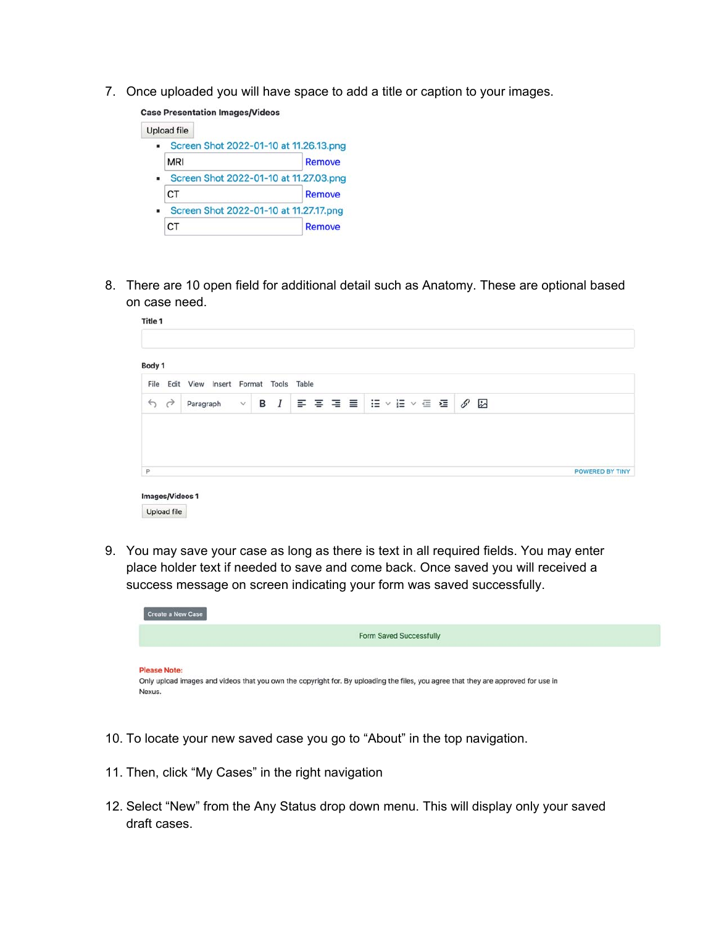7. Once uploaded you will have space to add a title or caption to your images.

**Case Presentation Images/Videos** 

Title 1



8. There are 10 open field for additional detail such as Anatomy. These are optional based on case need.

| Body 1                                 |                       |              |   |       |       |      |  |  |  |  |                   |                        |  |
|----------------------------------------|-----------------------|--------------|---|-------|-------|------|--|--|--|--|-------------------|------------------------|--|
| File<br>Edit                           | Insert Format<br>View |              |   | Tools | Table |      |  |  |  |  |                   |                        |  |
| $\leftrightarrow$<br>$\leftrightarrow$ | Paragraph             | $\checkmark$ | в | I     |       | 日本日本 |  |  |  |  | IE ▽ IE ▽ 昼 星   ダ | S.                     |  |
|                                        |                       |              |   |       |       |      |  |  |  |  |                   | <b>POWERED BY TINY</b> |  |

9. You may save your case as long as there is text in all required fields. You may enter place holder text if needed to save and come back. Once saved you will received a success message on screen indicating your form was saved successfully.



- 10. To locate your new saved case you go to "About" in the top navigation.
- 11. Then, click "My Cases" in the right navigation
- 12. Select "New" from the Any Status drop down menu. This will display only your saved draft cases.